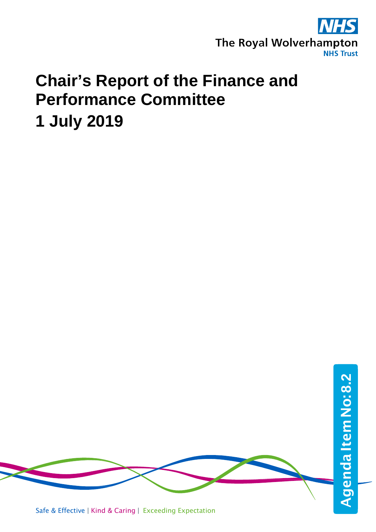

# **Chair's Report of the Finance and Performance Committee 1 July 2019**

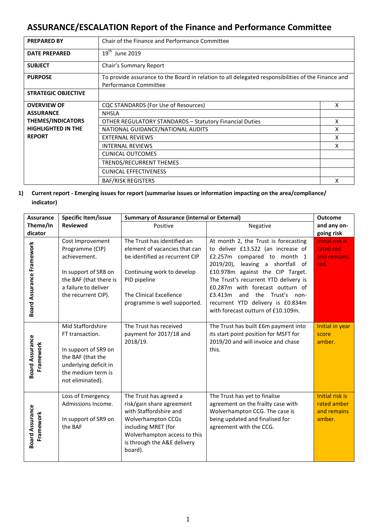# **ASSURANCE/ESCALATION Report of the Finance and Performance Committee**

| <b>PREPARED BY</b>         | Chair of the Finance and Performance Committee                                                                              |   |  |
|----------------------------|-----------------------------------------------------------------------------------------------------------------------------|---|--|
| <b>DATE PREPARED</b>       | 19 <sup>th</sup> June 2019                                                                                                  |   |  |
| <b>SUBJECT</b>             | Chair's Summary Report                                                                                                      |   |  |
| <b>PURPOSE</b>             | To provide assurance to the Board in relation to all delegated responsibilities of the Finance and<br>Performance Committee |   |  |
| <b>STRATEGIC OBJECTIVE</b> |                                                                                                                             |   |  |
| <b>OVERVIEW OF</b>         | CQC STANDARDS (For Use of Resources)                                                                                        | X |  |
| <b>ASSURANCE</b>           | <b>NHSLA</b>                                                                                                                |   |  |
| <b>THEMES/INDICATORS</b>   | <b>OTHER REGULATORY STANDARDS - Statutory Financial Duties</b>                                                              |   |  |
| <b>HIGHLIGHTED IN THE</b>  | NATIONAL GUIDANCE/NATIONAL AUDITS                                                                                           | x |  |
| <b>REPORT</b>              | <b>EXTERNAL REVIEWS</b>                                                                                                     | x |  |
|                            | <b>INTERNAL REVIEWS</b>                                                                                                     | x |  |
|                            | <b>CLINICAL OUTCOMES</b>                                                                                                    |   |  |
|                            | TRENDS/RECURRENT THEMES                                                                                                     |   |  |
|                            | <b>CLINICAL EFFECTIVENESS</b>                                                                                               |   |  |
| <b>BAF/RISK REGISTERS</b>  |                                                                                                                             |   |  |

## **1) Current report - Emerging issues for report (summarise issues or information impacting on the area/compliance/ indicator)**

| <b>Assurance</b>                    | Specific Item/issue                                                                                                                                  | <b>Summary of Assurance (internal or External)</b>                                                                                                                                                          |                                                                                                                                                                                                                                                                                                                                                                                 | <b>Outcome</b>                                                 |
|-------------------------------------|------------------------------------------------------------------------------------------------------------------------------------------------------|-------------------------------------------------------------------------------------------------------------------------------------------------------------------------------------------------------------|---------------------------------------------------------------------------------------------------------------------------------------------------------------------------------------------------------------------------------------------------------------------------------------------------------------------------------------------------------------------------------|----------------------------------------------------------------|
| Theme/In                            | <b>Reviewed</b>                                                                                                                                      | Positive                                                                                                                                                                                                    | Negative                                                                                                                                                                                                                                                                                                                                                                        | and any on-                                                    |
| dicator                             |                                                                                                                                                      |                                                                                                                                                                                                             |                                                                                                                                                                                                                                                                                                                                                                                 | going risk                                                     |
| Board Assurance Framework           | Cost Improvement<br>Programme (CIP)<br>achievement.<br>In support of SR8 on<br>the BAF (that there is<br>a failure to deliver<br>the recurrent CIP). | The Trust has identified an<br>element of vacancies that can<br>be identified as recurrent CIP<br>Continuing work to develop<br>PID pipeline<br>The Clinical Excellence<br>programme is well supported.     | At month 2, the Trust is forecasting<br>to deliver £13.522 (an increase of<br>£2.257m compared to month 1<br>2019/20), leaving a shortfall of<br>£10.978m against the CIP Target.<br>The Trust's recurrent YTD delivery is<br>£0.287m with forecast outturn of<br>£3.413m<br>the Trust's non-<br>and<br>recurrent YTD delivery is £0.834m<br>with forecast outturn of £10.109m. | Initial risk is<br>rated red<br>and remains<br>red.            |
| <b>Board Assurance</b><br>Framework | Mid Staffordshire<br>FT transaction.<br>In support of SR9 on<br>the BAF (that the<br>underlying deficit in<br>the medium term is<br>not eliminated). | The Trust has received<br>payment for 2017/18 and<br>2018/19.                                                                                                                                               | The Trust has built £6m payment into<br>its start point position for MSFT for<br>2019/20 and will invoice and chase<br>this.                                                                                                                                                                                                                                                    | Initial in year<br>score<br>amber.                             |
| <b>Board Assurance</b><br>Framework | Loss of Emergency<br>Admissions Income.<br>In support of SR9 on<br>the BAF                                                                           | The Trust has agreed a<br>risk/gain share agreement<br>with Staffordshire and<br><b>Wolverhampton CCGs</b><br>including MRET (for<br>Wolverhampton access to this<br>is through the A&E delivery<br>board). | The Trust has yet to finalise<br>agreement on the frailty case with<br>Wolverhampton CCG. The case is<br>being updated and finalised for<br>agreement with the CCG.                                                                                                                                                                                                             | <b>Initial risk is</b><br>rated amber<br>and remains<br>amber. |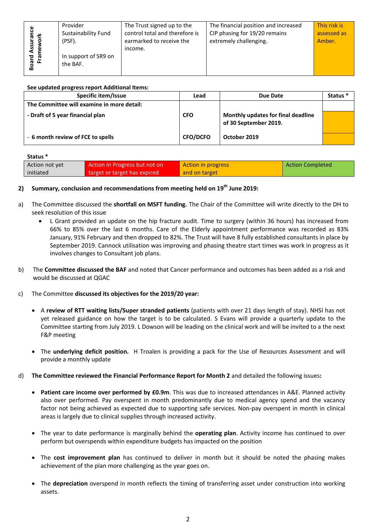|               | Provider             | The Trust signed up to the     | The financial position and increased | This risk is |
|---------------|----------------------|--------------------------------|--------------------------------------|--------------|
| ပ္မ<br>은 듯    | Sustainability Fund  | control total and therefore is | CIP phasing for 19/20 remains        | assessed as  |
| ē             | (PSF).               | earmarked to receive the       | extremely challenging.               | Amber.       |
| Assur<br>mewo |                      | income.                        |                                      |              |
| 意 몸           | In support of SR9 on |                                |                                      |              |
| ឨ             | the BAF.             |                                |                                      |              |
| ൶             |                      |                                |                                      |              |

#### **See updated progress report Additional Items:**

| Specific item/Issue                        | Lead            | Due Date                                                    | Status <sup>*</sup> |
|--------------------------------------------|-----------------|-------------------------------------------------------------|---------------------|
| The Committee will examine in more detail: |                 |                                                             |                     |
| - Draft of 5 year financial plan           | <b>CFO</b>      | Monthly updates for final deadline<br>of 30 September 2019. |                     |
| - 6 month review of FCE to spells          | <b>CFO/DCFO</b> | October 2019                                                |                     |

#### **Status \***

| Action not yet | Action In Progress but not on | Action in progress | <b>Action Completed</b> |
|----------------|-------------------------------|--------------------|-------------------------|
| initiated      | target or target has expired  | and on target      |                         |

### **2) Summary, conclusion and recommendations from meeting held on 19th June 2019:**

- a) The Committee discussed the **shortfall on MSFT funding.** The Chair of the Committee will write directly to the DH to seek resolution of this issue
	- L Grant provided an update on the hip fracture audit. Time to surgery (within 36 hours) has increased from 66% to 85% over the last 6 months. Care of the Elderly appointment performance was recorded as 83% January, 91% February and then dropped to 82%. The Trust will have 8 fully established consultants in place by September 2019. Cannock utilisation was improving and phasing theatre start times was work in progress as it involves changes to Consultant job plans.
- b) The **Committee discussed the BAF** and noted that Cancer performance and outcomes has been added as a risk and would be discussed at QGAC
- c) The Committee **discussed its objectives for the 2019/20 year:**
	- A **review of RTT waiting lists/Super stranded patients** (patients with over 21 days length of stay). NHSI has not yet released guidance on how the target is to be calculated. S Evans will provide a quarterly update to the Committee starting from July 2019. L Dowson will be leading on the clinical work and will be invited to a the next F&P meeting
	- The **underlying deficit position.** H Troalen is providing a pack for the Use of Resources Assessment and will provide a monthly update
- d) **The Committee reviewed the Financial Performance Report for Month 2** and detailed the following issues**:**
	- **Patient care income over performed by £0.9m**. This was due to increased attendances in A&E. Planned activity also over performed. Pay overspent in month predominantly due to medical agency spend and the vacancy factor not being achieved as expected due to supporting safe services. Non-pay overspent in month in clinical areas is largely due to clinical supplies through increased activity.
	- The year to date performance is marginally behind the **operating plan**. Activity income has continued to over perform but overspends within expenditure budgets has impacted on the position
	- The **cost improvement plan** has continued to deliver in month but it should be noted the phasing makes achievement of the plan more challenging as the year goes on.
	- The **depreciation** overspend in month reflects the timing of transferring asset under construction into working assets.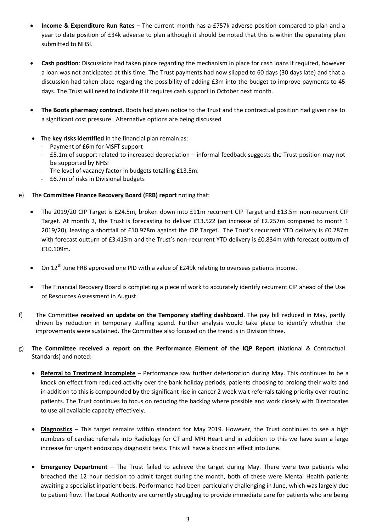- **Income & Expenditure Run Rates** The current month has a £757k adverse position compared to plan and a year to date position of £34k adverse to plan although it should be noted that this is within the operating plan submitted to NHSI.
- **Cash position**: Discussions had taken place regarding the mechanism in place for cash loans if required, however a loan was not anticipated at this time. The Trust payments had now slipped to 60 days (30 days late) and that a discussion had taken place regarding the possibility of adding £3m into the budget to improve payments to 45 days. The Trust will need to indicate if it requires cash support in October next month.
- **The Boots pharmacy contract**. Boots had given notice to the Trust and the contractual position had given rise to a significant cost pressure. Alternative options are being discussed
- The **key risks identified** in the financial plan remain as:
	- Payment of £6m for MSFT support
	- £5.1m of support related to increased depreciation informal feedback suggests the Trust position may not be supported by NHSI
	- The level of vacancy factor in budgets totalling £13.5m.
	- £6.7m of risks in Divisional budgets
- e) The **Committee Finance Recovery Board (FRB) report** noting that:
	- The 2019/20 CIP Target is £24.5m, broken down into £11m recurrent CIP Target and £13.5m non-recurrent CIP Target. At month 2, the Trust is forecasting to deliver £13.522 (an increase of £2.257m compared to month 1 2019/20), leaving a shortfall of £10.978m against the CIP Target. The Trust's recurrent YTD delivery is £0.287m with forecast outturn of £3.413m and the Trust's non-recurrent YTD delivery is £0.834m with forecast outturn of £10.109m.
	- $\bullet$  On 12<sup>th</sup> June FRB approved one PID with a value of £249k relating to overseas patients income.
	- The Financial Recovery Board is completing a piece of work to accurately identify recurrent CIP ahead of the Use of Resources Assessment in August.
- f) The Committee **received an update on the Temporary staffing dashboard**. The pay bill reduced in May, partly driven by reduction in temporary staffing spend. Further analysis would take place to identify whether the improvements were sustained. The Committee also focused on the trend is in Division three.
- g) **The Committee received a report on the Performance Element of the IQP Report** (National & Contractual Standards) and noted:
	- **Referral to Treatment Incomplete** Performance saw further deterioration during May. This continues to be a knock on effect from reduced activity over the bank holiday periods, patients choosing to prolong their waits and in addition to this is compounded by the significant rise in cancer 2 week wait referrals taking priority over routine patients. The Trust continues to focus on reducing the backlog where possible and work closely with Directorates to use all available capacity effectively.
	- **Diagnostics** This target remains within standard for May 2019. However, the Trust continues to see a high numbers of cardiac referrals into Radiology for CT and MRI Heart and in addition to this we have seen a large increase for urgent endoscopy diagnostic tests. This will have a knock on effect into June.
	- **Emergency Department** The Trust failed to achieve the target during May. There were two patients who breached the 12 hour decision to admit target during the month, both of these were Mental Health patients awaiting a specialist inpatient beds. Performance had been particularly challenging in June, which was largely due to patient flow. The Local Authority are currently struggling to provide immediate care for patients who are being